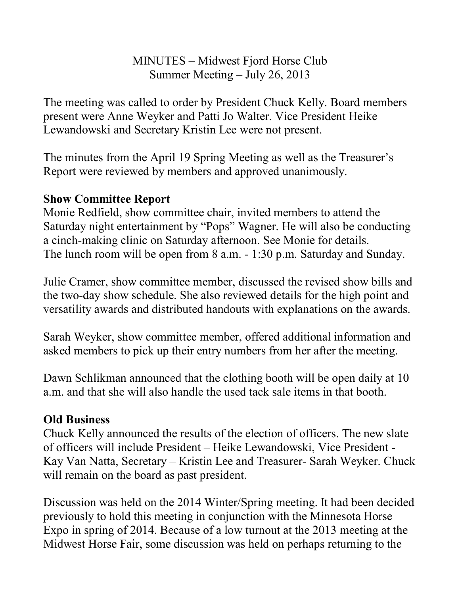## MINUTES – Midwest Fjord Horse Club Summer Meeting – July 26, 2013

The meeting was called to order by President Chuck Kelly. Board members present were Anne Weyker and Patti Jo Walter. Vice President Heike Lewandowski and Secretary Kristin Lee were not present.

The minutes from the April 19 Spring Meeting as well as the Treasurer's Report were reviewed by members and approved unanimously.

## **Show Committee Report**

Monie Redfield, show committee chair, invited members to attend the Saturday night entertainment by "Pops" Wagner. He will also be conducting a cinch-making clinic on Saturday afternoon. See Monie for details. The lunch room will be open from 8 a.m. - 1:30 p.m. Saturday and Sunday.

Julie Cramer, show committee member, discussed the revised show bills and the two-day show schedule. She also reviewed details for the high point and versatility awards and distributed handouts with explanations on the awards.

Sarah Weyker, show committee member, offered additional information and asked members to pick up their entry numbers from her after the meeting.

Dawn Schlikman announced that the clothing booth will be open daily at 10 a.m. and that she will also handle the used tack sale items in that booth.

## **Old Business**

Chuck Kelly announced the results of the election of officers. The new slate of officers will include President – Heike Lewandowski, Vice President Kay Van Natta, Secretary – Kristin Lee and Treasurer- Sarah Weyker. Chuck will remain on the board as past president.

Discussion was held on the 2014 Winter/Spring meeting. It had been decided previously to hold this meeting in conjunction with the Minnesota Horse Expo in spring of 2014. Because of a low turnout at the 2013 meeting at the Midwest Horse Fair, some discussion was held on perhaps returning to the